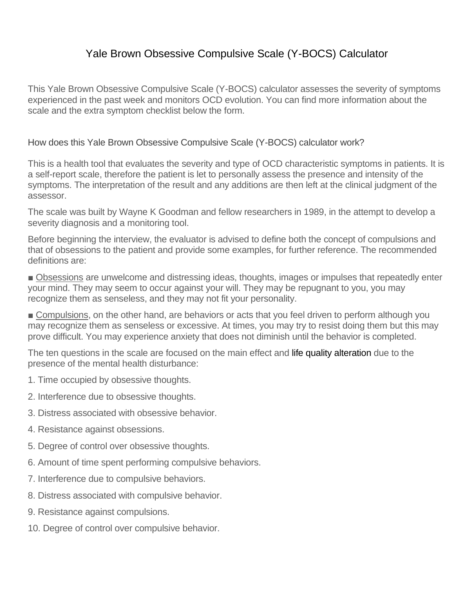## Yale Brown Obsessive Compulsive Scale (Y-BOCS) Calculator

This Yale Brown Obsessive Compulsive Scale (Y-BOCS) calculator assesses the severity of symptoms experienced in the past week and monitors OCD evolution. You can find more information about the scale and the extra symptom checklist below the form.

How does this Yale Brown Obsessive Compulsive Scale (Y-BOCS) calculator work?

This is a health tool that evaluates the severity and type of OCD characteristic symptoms in patients. It is a self-report scale, therefore the patient is let to personally assess the presence and intensity of the symptoms. The interpretation of the result and any additions are then left at the clinical judgment of the assessor.

The scale was built by Wayne K Goodman and fellow researchers in 1989, in the attempt to develop a severity diagnosis and a monitoring tool.

Before beginning the interview, the evaluator is advised to define both the concept of compulsions and that of obsessions to the patient and provide some examples, for further reference. The recommended definitions are:

■ Obsessions are unwelcome and distressing ideas, thoughts, images or impulses that repeatedly enter your mind. They may seem to occur against your will. They may be repugnant to you, you may recognize them as senseless, and they may not fit your personality.

■ Compulsions, on the other hand, are behaviors or acts that you feel driven to perform although you may recognize them as senseless or excessive. At times, you may try to resist doing them but this may prove difficult. You may experience anxiety that does not diminish until the behavior is completed.

The ten questions in the scale are focused on the main effect and life quality alteration due to the presence of the mental health disturbance:

- 1. Time occupied by obsessive thoughts.
- 2. Interference due to obsessive thoughts.
- 3. Distress associated with obsessive behavior.
- 4. Resistance against obsessions.
- 5. Degree of control over obsessive thoughts.
- 6. Amount of time spent performing compulsive behaviors.
- 7. Interference due to compulsive behaviors.
- 8. Distress associated with compulsive behavior.
- 9. Resistance against compulsions.
- 10. Degree of control over compulsive behavior.